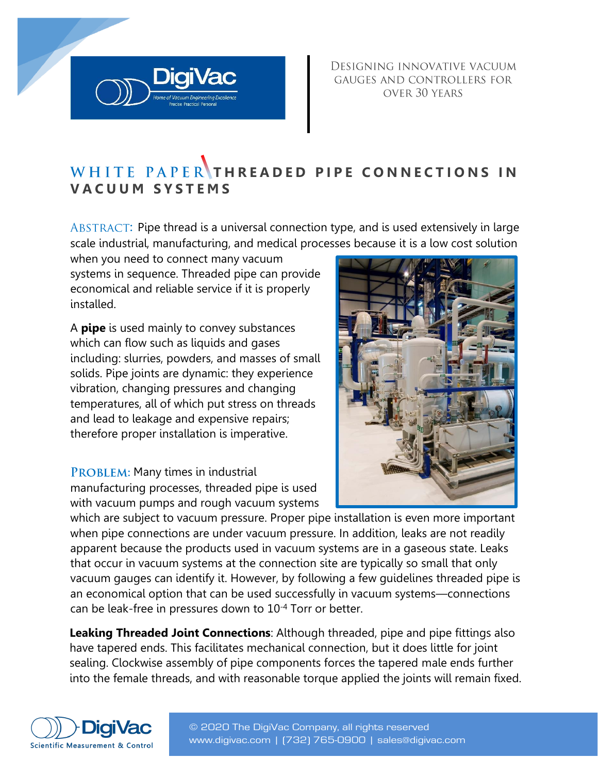DESIGNING INNOVATIVE VACUUM GAUGES AND CONTROLLERS FOR OVER 30 YEARS

# WHITE PAPER THREADED PIPE CONNECTIONS IN **V A C U U M S Y S T E M S**

ABSTRACT: Pipe thread is a universal connection type, and is used extensively in large scale industrial, manufacturing, and medical processes because it is a low cost solution

when you need to connect many vacuum systems in sequence. Threaded pipe can provide economical and reliable service if it is properly installed.

A **pipe** is used mainly to convey substances which can flow such as liquids and gases including: slurries, powders, and masses of small solids. Pipe joints are dynamic: they experience vibration, changing pressures and changing temperatures, all of which put stress on threads and lead to leakage and expensive repairs; therefore proper installation is imperative.

PROBLEM: Many times in industrial manufacturing processes, threaded pipe is used with vacuum pumps and rough vacuum systems

which are subject to vacuum pressure. Proper pipe installation is even more important when pipe connections are under vacuum pressure. In addition, leaks are not readily apparent because the products used in vacuum systems are in a gaseous state. Leaks that occur in vacuum systems at the connection site are typically so small that only vacuum gauges can identify it. However, by following a few guidelines threaded pipe is an economical option that can be used successfully in vacuum systems—connections can be leak-free in pressures down to 10-4 Torr or better.

**Leaking Threaded Joint Connections**: Although threaded, pipe and pipe fittings also have tapered ends. This facilitates mechanical connection, but it does little for joint sealing. Clockwise assembly of pipe components forces the tapered male ends further into the female threads, and with reasonable torque applied the joints will remain fixed.







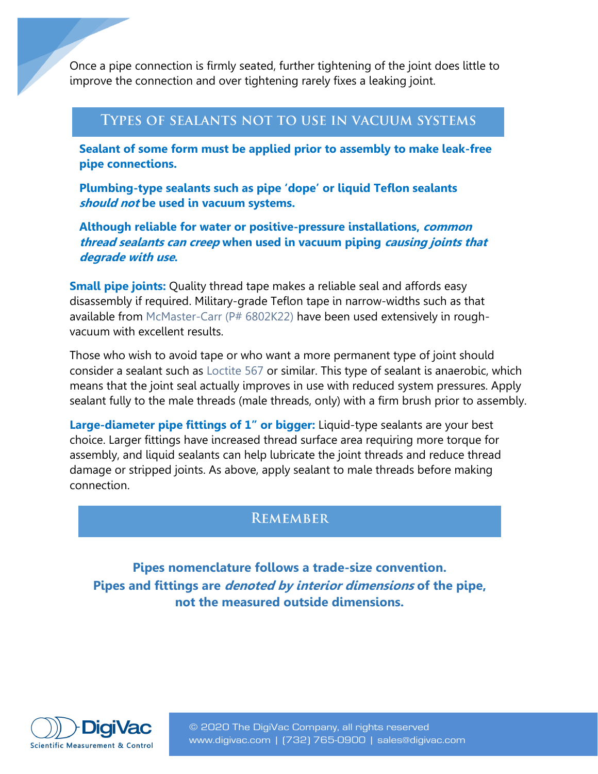Once a pipe connection is firmly seated, further tightening of the joint does little to improve the connection and over tightening rarely fixes a leaking joint.

#### **TYPES OF SEALANTS NOT TO USE IN VACUUM SYSTEMS**

**Sealant of some form must be applied prior to assembly to make leak-free pipe connections.** 

**Plumbing-type sealants such as pipe 'dope' or liquid Teflon sealants should not be used in vacuum systems.** 

**Although reliable for water or positive-pressure installations, common thread sealants can creep when used in vacuum piping causing joints that degrade with use.** 

**Small pipe joints:** Quality thread tape makes a reliable seal and affords easy disassembly if required. Military-grade Teflon tape in narrow-widths such as that available from [McMaster-Carr \(P# 6802K22\)](http://www.mcmaster.com/#catalog/120/3434/=uh8ga9) have been used extensively in roughvacuum with excellent results.

Those who wish to avoid tape or who want a more permanent type of joint should consider a sealant such as [Loctite 567](http://www.henkelna.com/industrial/Thread-Sealing-Industrial-Manufacturing-21396.htm) or similar. This type of sealant is anaerobic, which means that the joint seal actually improves in use with reduced system pressures. Apply sealant fully to the male threads (male threads, only) with a firm brush prior to assembly.

**Large-diameter pipe fittings of 1" or bigger:** Liquid-type sealants are your best choice. Larger fittings have increased thread surface area requiring more torque for assembly, and liquid sealants can help lubricate the joint threads and reduce thread damage or stripped joints. As above, apply sealant to male threads before making connection.

### **REMEMBER**

**Pipes nomenclature follows a trade-size convention. Pipes and fittings are denoted by interior dimensions of the pipe, not the measured outside dimensions.** 



© 2020 The DigiVac Company, all rights reserved www.digivac.com | ([732\) 765-0900 | sales@digiv](mailto:sales@digivac.com)a[c.com](http://www.digivac.com/)